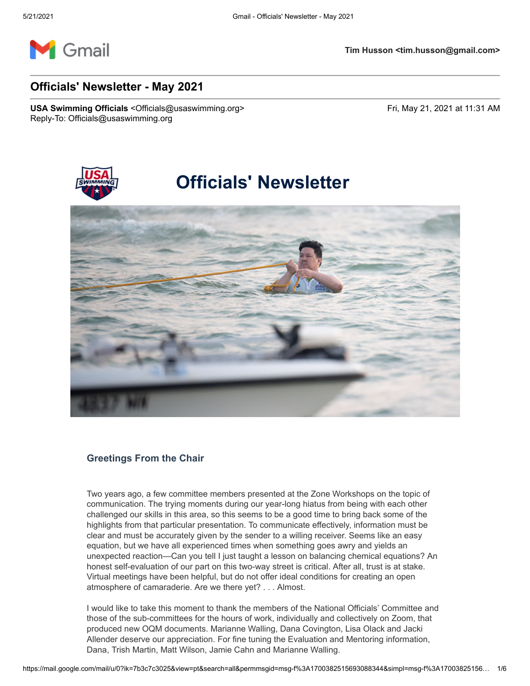

# **Officials' Newsletter - May 2021**

USA Swimming Officials <Officials@usaswimming.org> Fri, May 21, 2021 at 11:31 AM Reply-To: Officials@usaswimming.org



# **Officials' Newsletter**



## **Greetings From the Chair**

Two years ago, a few committee members presented at the Zone Workshops on the topic of communication. The trying moments during our year-long hiatus from being with each other challenged our skills in this area, so this seems to be a good time to bring back some of the highlights from that particular presentation. To communicate effectively, information must be clear and must be accurately given by the sender to a willing receiver. Seems like an easy equation, but we have all experienced times when something goes awry and yields an unexpected reaction—Can you tell I just taught a lesson on balancing chemical equations? An honest self-evaluation of our part on this two-way street is critical. After all, trust is at stake. Virtual meetings have been helpful, but do not offer ideal conditions for creating an open atmosphere of camaraderie. Are we there yet? . . . Almost.

I would like to take this moment to thank the members of the National Officials' Committee and those of the sub-committees for the hours of work, individually and collectively on Zoom, that produced new OQM documents. Marianne Walling, Dana Covington, Lisa Olack and Jacki Allender deserve our appreciation. For fine tuning the Evaluation and Mentoring information, Dana, Trish Martin, Matt Wilson, Jamie Cahn and Marianne Walling.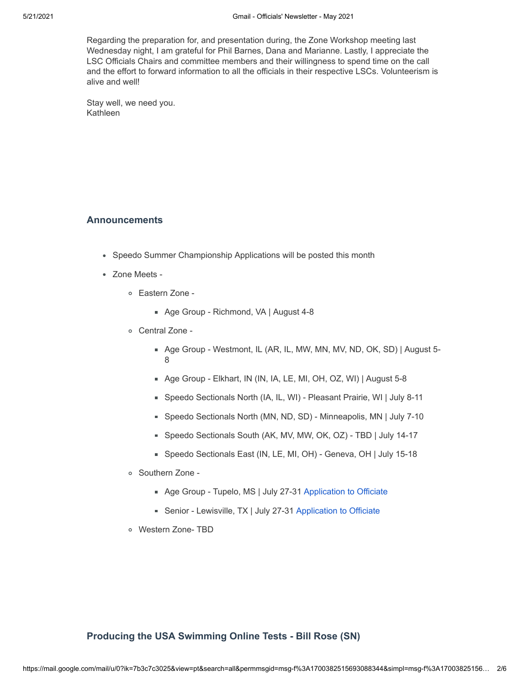Regarding the preparation for, and presentation during, the Zone Workshop meeting last Wednesday night, I am grateful for Phil Barnes, Dana and Marianne. Lastly, I appreciate the LSC Officials Chairs and committee members and their willingness to spend time on the call and the effort to forward information to all the officials in their respective LSCs. Volunteerism is alive and well!

Stay well, we need you. Kathleen

## **Announcements**

- Speedo Summer Championship Applications will be posted this month
- Zone Meets
	- Eastern Zone
		- Age Group Richmond, VA | August 4-8
	- Central Zone
		- Age Group Westmont, IL (AR, IL, MW, MN, MV, ND, OK, SD) | August 5- 8
		- Age Group Elkhart, IN (IN, IA, LE, MI, OH, OZ, WI) | August 5-8
		- Speedo Sectionals North (IA, IL, WI) Pleasant Prairie, WI | July 8-11
		- Speedo Sectionals North (MN, ND, SD) Minneapolis, MN | July 7-10
		- Speedo Sectionals South (AK, MV, MW, OK, OZ) TBD | July 14-17
		- Speedo Sectionals East (IN, LE, MI, OH) Geneva, OH | July 15-18
	- o Southern Zone -
		- Age Group Tupelo, MS | July 27-31 [Application to Officiate](http://pages.usaswimming.org/MjM2LUtDWi00OTUAAAF9LoavggsM4p02LDMwVVRpXwQHUSoBvMH5TzytvKnX68dwKxg5C3U52FfVV1UR4rF--RR-CDQ=)
		- Senior Lewisville, TX | July 27-31 [Application to Officiate](http://pages.usaswimming.org/MjM2LUtDWi00OTUAAAF9LoavgilO_H1Sg_x2Ce90LA7SdTi88xzZOA5HlzV9ISt72vzrneHace3YUqC2oafZQLdtG8o=)
	- Western Zone- TBD

## **Producing the USA Swimming Online Tests - Bill Rose (SN)**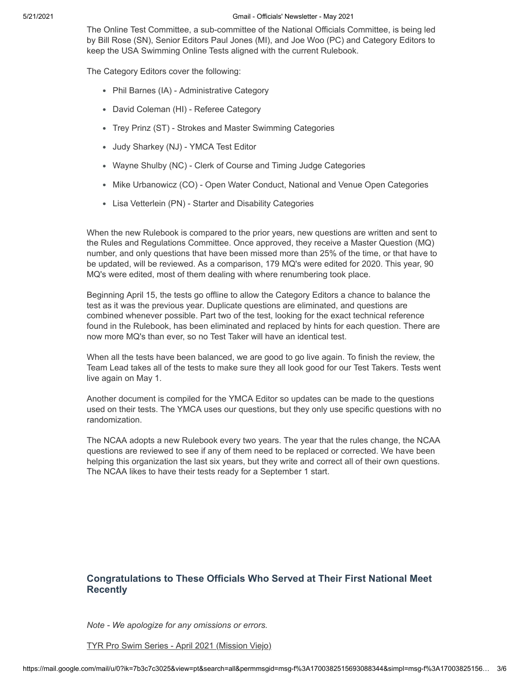#### 5/21/2021 Gmail - Officials' Newsletter - May 2021

The Online Test Committee, a sub-committee of the National Officials Committee, is being led by Bill Rose (SN), Senior Editors Paul Jones (MI), and Joe Woo (PC) and Category Editors to keep the USA Swimming Online Tests aligned with the current Rulebook.

The Category Editors cover the following:

- Phil Barnes (IA) Administrative Category
- David Coleman (HI) Referee Category
- Trey Prinz (ST) Strokes and Master Swimming Categories
- Judy Sharkey (NJ) YMCA Test Editor
- Wayne Shulby (NC) Clerk of Course and Timing Judge Categories
- Mike Urbanowicz (CO) Open Water Conduct, National and Venue Open Categories
- Lisa Vetterlein (PN) Starter and Disability Categories

When the new Rulebook is compared to the prior years, new questions are written and sent to the Rules and Regulations Committee. Once approved, they receive a Master Question (MQ) number, and only questions that have been missed more than 25% of the time, or that have to be updated, will be reviewed. As a comparison, 179 MQ's were edited for 2020. This year, 90 MQ's were edited, most of them dealing with where renumbering took place.

Beginning April 15, the tests go offline to allow the Category Editors a chance to balance the test as it was the previous year. Duplicate questions are eliminated, and questions are combined whenever possible. Part two of the test, looking for the exact technical reference found in the Rulebook, has been eliminated and replaced by hints for each question. There are now more MQ's than ever, so no Test Taker will have an identical test.

When all the tests have been balanced, we are good to go live again. To finish the review, the Team Lead takes all of the tests to make sure they all look good for our Test Takers. Tests went live again on May 1.

Another document is compiled for the YMCA Editor so updates can be made to the questions used on their tests. The YMCA uses our questions, but they only use specific questions with no randomization.

The NCAA adopts a new Rulebook every two years. The year that the rules change, the NCAA questions are reviewed to see if any of them need to be replaced or corrected. We have been helping this organization the last six years, but they write and correct all of their own questions. The NCAA likes to have their tests ready for a September 1 start.

# **Congratulations to These Officials Who Served at Their First National Meet Recently**

*Note - We apologize for any omissions or errors.*

TYR Pro Swim Series - April 2021 (Mission Viejo)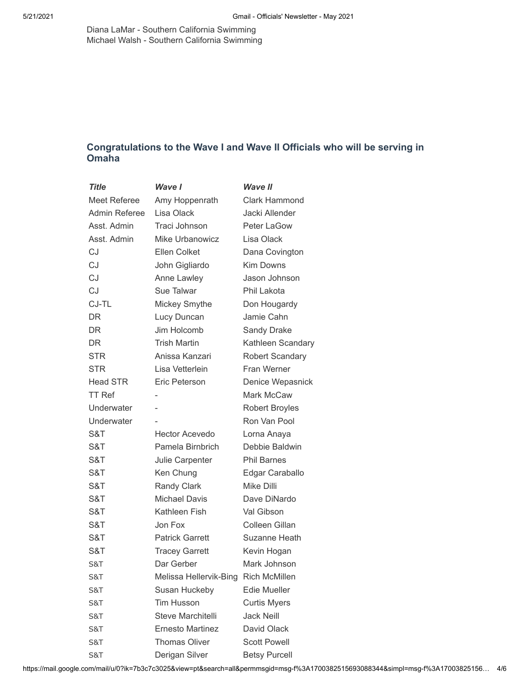Diana LaMar - Southern California Swimming Michael Walsh - Southern California Swimming

# **Congratulations to the Wave I and Wave II Officials who will be serving in Omaha**

| <b>Title</b>    | Wave I                  | <b>Wave II</b>        |
|-----------------|-------------------------|-----------------------|
| Meet Referee    | Amy Hoppenrath          | Clark Hammond         |
| Admin Referee   | Lisa Olack              | Jacki Allender        |
| Asst. Admin     | Traci Johnson           | <b>Peter LaGow</b>    |
| Asst. Admin     | Mike Urbanowicz         | Lisa Olack            |
| CJ              | Ellen Colket            | Dana Covington        |
| CJ              | John Gigliardo          | <b>Kim Downs</b>      |
| <b>CJ</b>       | Anne Lawley             | Jason Johnson         |
| <b>CJ</b>       | Sue Talwar              | Phil Lakota           |
| CJ-TL           | Mickey Smythe           | Don Hougardy          |
| DR.             | Lucy Duncan             | Jamie Cahn            |
| DR.             | Jim Holcomb             | <b>Sandy Drake</b>    |
| <b>DR</b>       | <b>Trish Martin</b>     | Kathleen Scandary     |
| STR             | Anissa Kanzari          | Robert Scandary       |
| <b>STR</b>      | Lisa Vetterlein         | Fran Werner           |
| <b>Head STR</b> | Eric Peterson           | Denice Wepasnick      |
| <b>TT Ref</b>   |                         | Mark McCaw            |
| Underwater      |                         | <b>Robert Broyles</b> |
| Underwater      |                         | Ron Van Pool          |
| S&T             | <b>Hector Acevedo</b>   | Lorna Anaya           |
| S&T             | Pamela Birnbrich        | Debbie Baldwin        |
| S&T             | Julie Carpenter         | <b>Phil Barnes</b>    |
| S&T             | Ken Chung               | Edgar Caraballo       |
| S&T             | <b>Randy Clark</b>      | Mike Dilli            |
| S&T             | <b>Michael Davis</b>    | Dave DiNardo          |
| S&T             | Kathleen Fish           | Val Gibson            |
| S&T             | Jon Fox                 | Colleen Gillan        |
| S&T             | <b>Patrick Garrett</b>  | Suzanne Heath         |
| S&T             | <b>Tracey Garrett</b>   | Kevin Hogan           |
| S&T             | Dar Gerber              | Mark Johnson          |
| S&T             | Melissa Hellervik-Bing  | <b>Rich McMillen</b>  |
| S&T             | Susan Huckeby           | <b>Edie Mueller</b>   |
| S&T             | <b>Tim Husson</b>       | <b>Curtis Myers</b>   |
| S&T             | Steve Marchitelli       | <b>Jack Neill</b>     |
| S&T             | <b>Ernesto Martinez</b> | David Olack           |
| S&T             | <b>Thomas Oliver</b>    | <b>Scott Powell</b>   |
| S&T             | Derigan Silver          | <b>Betsy Purcell</b>  |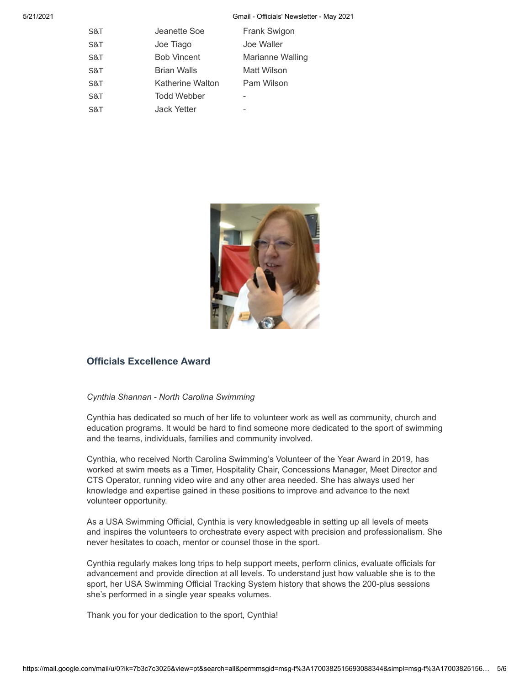5/21/2021 Gmail - Officials' Newsletter - May 2021

| Jeanette Soe            | Frank Swigon     |
|-------------------------|------------------|
| Joe Tiago               | Joe Waller       |
| <b>Bob Vincent</b>      | Marianne Walling |
| <b>Brian Walls</b>      | Matt Wilson      |
| <b>Katherine Walton</b> | Pam Wilson       |
| <b>Todd Webber</b>      |                  |
| Jack Yetter             |                  |
|                         |                  |



## **Officials Excellence Award**

### *Cynthia Shannan - North Carolina Swimming*

Cynthia has dedicated so much of her life to volunteer work as well as community, church and education programs. It would be hard to find someone more dedicated to the sport of swimming and the teams, individuals, families and community involved.

Cynthia, who received North Carolina Swimming's Volunteer of the Year Award in 2019, has worked at swim meets as a Timer, Hospitality Chair, Concessions Manager, Meet Director and CTS Operator, running video wire and any other area needed. She has always used her knowledge and expertise gained in these positions to improve and advance to the next volunteer opportunity.

As a USA Swimming Official, Cynthia is very knowledgeable in setting up all levels of meets and inspires the volunteers to orchestrate every aspect with precision and professionalism. She never hesitates to coach, mentor or counsel those in the sport.

Cynthia regularly makes long trips to help support meets, perform clinics, evaluate officials for advancement and provide direction at all levels. To understand just how valuable she is to the sport, her USA Swimming Official Tracking System history that shows the 200-plus sessions she's performed in a single year speaks volumes.

Thank you for your dedication to the sport, Cynthia!